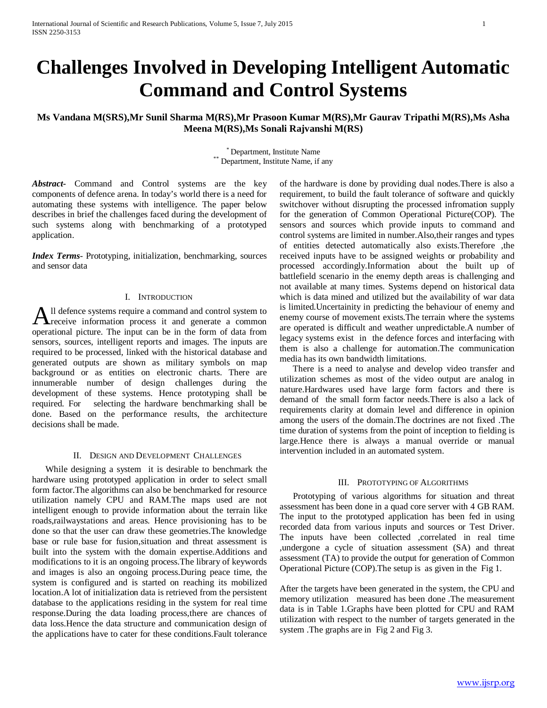# **Challenges Involved in Developing Intelligent Automatic Command and Control Systems**

**Ms Vandana M(SRS),Mr Sunil Sharma M(RS),Mr Prasoon Kumar M(RS),Mr Gaurav Tripathi M(RS),Ms Asha Meena M(RS),Ms Sonali Rajvanshi M(RS)**

\* Department, Institute Name<br>Department, Institute Name, if any

*Abstract***-** Command and Control systems are the key components of defence arena. In today's world there is a need for automating these systems with intelligence. The paper below describes in brief the challenges faced during the development of such systems along with benchmarking of a prototyped application.

*Index Terms*- Prototyping, initialization, benchmarking, sources and sensor data

## I. INTRODUCTION

ll defence systems require a command and control system to All defence systems require a command and control system to receive information process it and generate a common operational picture. The input can be in the form of data from sensors, sources, intelligent reports and images. The inputs are required to be processed, linked with the historical database and generated outputs are shown as military symbols on map background or as entities on electronic charts. There are innumerable number of design challenges during the development of these systems. Hence prototyping shall be required. For selecting the hardware benchmarking shall be done. Based on the performance results, the architecture decisions shall be made.

## II. DESIGN AND DEVELOPMENT CHALLENGES

 While designing a system it is desirable to benchmark the hardware using prototyped application in order to select small form factor.The algorithms can also be benchmarked for resource utilization namely CPU and RAM.The maps used are not intelligent enough to provide information about the terrain like roads,railwaystations and areas. Hence provisioning has to be done so that the user can draw these geometries.The knowledge base or rule base for fusion,situation and threat assessment is built into the system with the domain expertise.Additions and modifications to it is an ongoing process.The library of keywords and images is also an ongoing process.During peace time, the system is configured and is started on reaching its mobilized location.A lot of initialization data is retrieved from the persistent database to the applications residing in the system for real time response.During the data loading process,there are chances of data loss.Hence the data structure and communication design of the applications have to cater for these conditions.Fault tolerance of the hardware is done by providing dual nodes.There is also a requirement, to build the fault tolerance of software and quickly switchover without disrupting the processed infromation supply for the generation of Common Operational Picture(COP). The sensors and sources which provide inputs to command and control systems are limited in number.Also,their ranges and types of entities detected automatically also exists.Therefore ,the received inputs have to be assigned weights or probability and processed accordingly.Information about the built up of battlefield scenario in the enemy depth areas is challenging and not available at many times. Systems depend on historical data which is data mined and utilized but the availability of war data is limited.Uncertainity in predicting the behaviour of enemy and enemy course of movement exists.The terrain where the systems are operated is difficult and weather unpredictable.A number of legacy systems exist in the defence forces and interfacing with them is also a challenge for automation.The communication media has its own bandwidth limitations.

 There is a need to analyse and develop video transfer and utilization schemes as most of the video output are analog in nature.Hardwares used have large form factors and there is demand of the small form factor needs.There is also a lack of requirements clarity at domain level and difference in opinion among the users of the domain.The doctrines are not fixed .The time duration of systems from the point of inception to fielding is large.Hence there is always a manual override or manual intervention included in an automated system.

### III. PROTOTYPING OF ALGORITHMS

 Prototyping of various algorithms for situation and threat assessment has been done in a quad core server with 4 GB RAM. The input to the prototyped application has been fed in using recorded data from various inputs and sources or Test Driver. The inputs have been collected ,correlated in real time ,undergone a cycle of situation assessment (SA) and threat assessment (TA) to provide the output for generation of Common Operational Picture (COP).The setup is as given in the Fig 1.

After the targets have been generated in the system, the CPU and memory utilization measured has been done .The measurement data is in Table 1.Graphs have been plotted for CPU and RAM utilization with respect to the number of targets generated in the system .The graphs are in Fig 2 and Fig 3.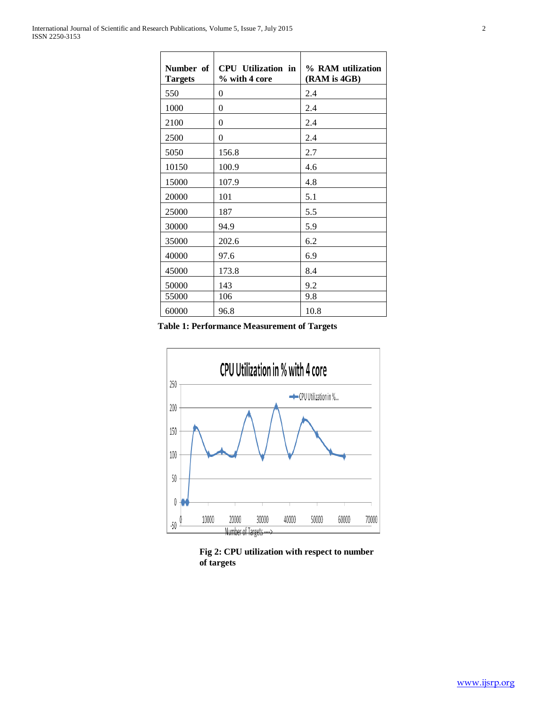| Number of<br><b>Targets</b> | CPU Utilization in<br>% with 4 core | % RAM utilization<br>(RAM is 4GB) |
|-----------------------------|-------------------------------------|-----------------------------------|
| 550                         | $\theta$                            | 2.4                               |
| 1000                        | $\overline{0}$                      | 2.4                               |
| 2100                        | $\theta$                            | 2.4                               |
| 2500                        | $\theta$                            | 2.4                               |
| 5050                        | 156.8                               | 2.7                               |
| 10150                       | 100.9                               | 4.6                               |
| 15000                       | 107.9                               | 4.8                               |
| 20000                       | 101                                 | 5.1                               |
| 25000                       | 187                                 | 5.5                               |
| 30000                       | 94.9                                | 5.9                               |
| 35000                       | 202.6                               | 6.2                               |
| 40000                       | 97.6                                | 6.9                               |
| 45000                       | 173.8                               | 8.4                               |
| 50000                       | 143                                 | 9.2                               |
| 55000                       | 106                                 | 9.8                               |
| 60000                       | 96.8                                | 10.8                              |

**Table 1: Performance Measurement of Targets**